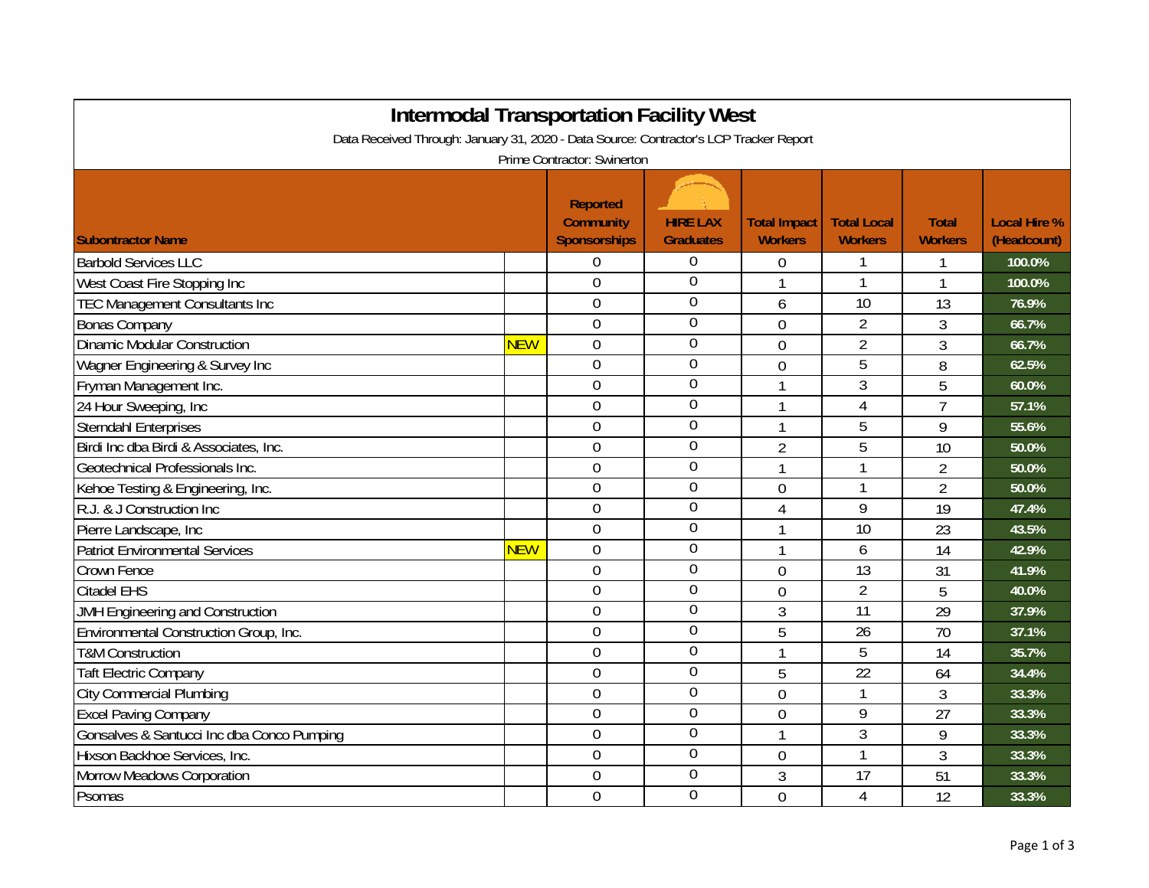| <b>Intermodal Transportation Facility West</b><br>Data Received Through: January 31, 2020 - Data Source: Contractor's LCP Tracker Report |            |                                                            |                                     |                                       |                                      |                                |                                    |  |
|------------------------------------------------------------------------------------------------------------------------------------------|------------|------------------------------------------------------------|-------------------------------------|---------------------------------------|--------------------------------------|--------------------------------|------------------------------------|--|
| Prime Contractor: Swinerton                                                                                                              |            |                                                            |                                     |                                       |                                      |                                |                                    |  |
| <b>Subontractor Name</b>                                                                                                                 |            | <b>Reported</b><br><b>Community</b><br><b>Sponsorships</b> | <b>HIRE LAX</b><br><b>Graduates</b> | <b>Total Impact</b><br><b>Workers</b> | <b>Total Local</b><br><b>Workers</b> | <b>Total</b><br><b>Workers</b> | <b>Local Hire %</b><br>(Headcount) |  |
| <b>Barbold Services LLC</b>                                                                                                              |            | 0                                                          | $\overline{0}$                      | $\overline{0}$                        |                                      | 1                              | 100.0%                             |  |
| West Coast Fire Stopping Inc                                                                                                             |            | $\overline{0}$                                             | $\overline{0}$                      |                                       |                                      | $\mathbf{1}$                   | 100.0%                             |  |
| <b>TEC Management Consultants Inc</b>                                                                                                    |            | 0                                                          | $\overline{0}$                      | 6                                     | 10                                   | 13                             | 76.9%                              |  |
| <b>Bonas Company</b>                                                                                                                     |            | $\overline{0}$                                             | $\overline{0}$                      | $\Omega$                              | $\overline{2}$                       | 3                              | 66.7%                              |  |
| <b>Dinamic Modular Construction</b>                                                                                                      | <b>NEW</b> | $\overline{0}$                                             | $\boldsymbol{0}$                    | 0                                     | $\overline{2}$                       | 3                              | 66.7%                              |  |
| Wagner Engineering & Survey Inc                                                                                                          |            | $\overline{0}$                                             | $\overline{0}$                      | $\overline{0}$                        | 5                                    | 8                              | 62.5%                              |  |
| Fryman Management Inc.                                                                                                                   |            | 0                                                          | $\overline{0}$                      | 1                                     | 3                                    | 5                              | 60.0%                              |  |
| 24 Hour Sweeping, Inc                                                                                                                    |            | 0                                                          | $\overline{0}$                      | 1                                     | $\overline{4}$                       | $\overline{7}$                 | 57.1%                              |  |
| <b>Sterndahl Enterprises</b>                                                                                                             |            | 0                                                          | $\overline{0}$                      | $\mathbf{1}$                          | 5                                    | 9                              | 55.6%                              |  |
| Birdi Inc dba Birdi & Associates, Inc.                                                                                                   |            | $\overline{0}$                                             | $\overline{0}$                      | $\overline{2}$                        | $\overline{5}$                       | 10                             | 50.0%                              |  |
| Geotechnical Professionals Inc.                                                                                                          |            | 0                                                          | $\mathbf 0$                         | $\mathbf{1}$                          | 1                                    | $\overline{2}$                 | 50.0%                              |  |
| Kehoe Testing & Engineering, Inc.                                                                                                        |            | $\overline{0}$                                             | $\overline{0}$                      | $\mathbf 0$                           | 1                                    | $\overline{2}$                 | 50.0%                              |  |
| R.J. & J Construction Inc                                                                                                                |            | 0                                                          | $\overline{0}$                      | 4                                     | 9                                    | 19                             | 47.4%                              |  |
| Pierre Landscape, Inc                                                                                                                    |            | 0                                                          | 0                                   | $\overline{1}$                        | 10                                   | 23                             | 43.5%                              |  |
| <b>Patriot Environmental Services</b>                                                                                                    | <b>NEW</b> | 0                                                          | $\boldsymbol{0}$                    | $\mathbf{1}$                          | 6                                    | 14                             | 42.9%                              |  |
| <b>Crown Fence</b>                                                                                                                       |            | 0                                                          | $\overline{0}$                      | $\overline{0}$                        | 13                                   | 31                             | 41.9%                              |  |
| <b>Citadel EHS</b>                                                                                                                       |            | $\overline{0}$                                             | 0                                   | $\overline{0}$                        | $\overline{2}$                       | 5                              | 40.0%                              |  |
| JMH Engineering and Construction                                                                                                         |            | 0                                                          | $\overline{0}$                      | 3                                     | 11                                   | 29                             | 37.9%                              |  |
| Environmental Construction Group, Inc.                                                                                                   |            | 0                                                          | $\boldsymbol{0}$                    | 5                                     | 26                                   | 70                             | 37.1%                              |  |
| <b>T&amp;M Construction</b>                                                                                                              |            | 0                                                          | $\boldsymbol{0}$                    | $\mathbf{1}$                          | 5                                    | 14                             | 35.7%                              |  |
| <b>Taft Electric Company</b>                                                                                                             |            | 0                                                          | $\boldsymbol{0}$                    | 5                                     | $\overline{22}$                      | 64                             | 34.4%                              |  |
| <b>City Commercial Plumbing</b>                                                                                                          |            | 0                                                          | $\boldsymbol{0}$                    | $\mathbf 0$                           | 1                                    | 3                              | 33.3%                              |  |
| <b>Excel Paving Company</b>                                                                                                              |            | 0                                                          | $\boldsymbol{0}$                    | $\overline{0}$                        | 9                                    | 27                             | 33.3%                              |  |
| Gonsalves & Santucci Inc dba Conco Pumping                                                                                               |            | $\overline{0}$                                             | $\overline{0}$                      | $\mathbf{1}$                          | 3                                    | 9                              | 33.3%                              |  |
| Hixson Backhoe Services, Inc.                                                                                                            |            | $\overline{0}$                                             | $\overline{0}$                      | $\overline{0}$                        | 1                                    | 3                              | 33.3%                              |  |
| Morrow Meadows Corporation                                                                                                               |            | 0                                                          | $\mathbf 0$                         | 3                                     | 17                                   | 51                             | 33.3%                              |  |
| Psomas                                                                                                                                   |            | $\overline{0}$                                             | $\overline{0}$                      | $\overline{0}$                        | $\overline{4}$                       | 12                             | 33.3%                              |  |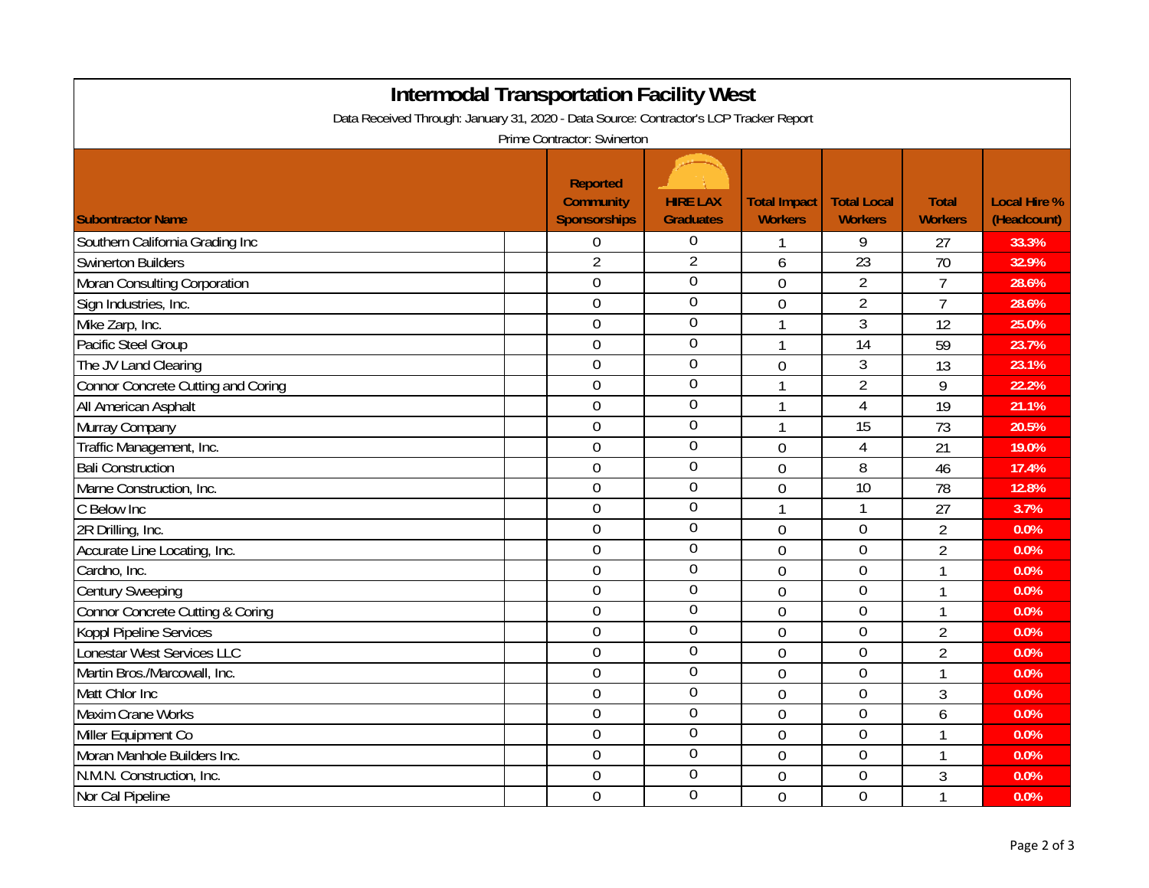| <b>Intermodal Transportation Facility West</b>                                                                        |  |                                                            |                                     |                                       |                                      |                                |                                    |  |
|-----------------------------------------------------------------------------------------------------------------------|--|------------------------------------------------------------|-------------------------------------|---------------------------------------|--------------------------------------|--------------------------------|------------------------------------|--|
| Data Received Through: January 31, 2020 - Data Source: Contractor's LCP Tracker Report<br>Prime Contractor: Swinerton |  |                                                            |                                     |                                       |                                      |                                |                                    |  |
| <b>Subontractor Name</b>                                                                                              |  | <b>Reported</b><br><b>Community</b><br><b>Sponsorships</b> | <b>HIRE LAX</b><br><b>Graduates</b> | <b>Total Impact</b><br><b>Workers</b> | <b>Total Local</b><br><b>Workers</b> | <b>Total</b><br><b>Workers</b> | <b>Local Hire %</b><br>(Headcount) |  |
| Southern California Grading Inc                                                                                       |  | $\boldsymbol{0}$                                           | 0                                   |                                       | 9                                    | 27                             | 33.3%                              |  |
| <b>Swinerton Builders</b>                                                                                             |  | $\overline{2}$                                             | $\overline{2}$                      | 6                                     | 23                                   | 70                             | 32.9%                              |  |
| Moran Consulting Corporation                                                                                          |  | $\mathbf 0$                                                | $\overline{0}$                      | $\overline{0}$                        | $\overline{2}$                       | $\overline{7}$                 | 28.6%                              |  |
| Sign Industries, Inc.                                                                                                 |  | $\mathbf 0$                                                | $\overline{0}$                      | $\overline{0}$                        | $\overline{2}$                       | $\overline{7}$                 | 28.6%                              |  |
| Mike Zarp, Inc.                                                                                                       |  | $\overline{0}$                                             | $\overline{0}$                      | 1                                     | $\overline{3}$                       | 12                             | 25.0%                              |  |
| Pacific Steel Group                                                                                                   |  | $\mathbf 0$                                                | $\mathbf 0$                         | 1                                     | 14                                   | 59                             | 23.7%                              |  |
| The JV Land Clearing                                                                                                  |  | $\mathbf 0$                                                | $\boldsymbol{0}$                    | $\mathbf 0$                           | $\mathfrak{Z}$                       | 13                             | 23.1%                              |  |
| Connor Concrete Cutting and Coring                                                                                    |  | $\overline{0}$                                             | $\overline{0}$                      | 1                                     | $\overline{2}$                       | 9                              | 22.2%                              |  |
| All American Asphalt                                                                                                  |  | $\boldsymbol{0}$                                           | $\boldsymbol{0}$                    | 1                                     | $\overline{4}$                       | 19                             | 21.1%                              |  |
| Murray Company                                                                                                        |  | $\mathbf 0$                                                | $\mathbf 0$                         | 1                                     | 15                                   | 73                             | 20.5%                              |  |
| Traffic Management, Inc.                                                                                              |  | $\overline{0}$                                             | $\boldsymbol{0}$                    | $\overline{0}$                        | $\overline{4}$                       | 21                             | 19.0%                              |  |
| <b>Bali Construction</b>                                                                                              |  | $\overline{0}$                                             | $\boldsymbol{0}$                    | $\overline{0}$                        | 8                                    | 46                             | 17.4%                              |  |
| Marne Construction, Inc.                                                                                              |  | $\overline{0}$                                             | $\boldsymbol{0}$                    | $\overline{0}$                        | 10                                   | 78                             | 12.8%                              |  |
| C Below Inc                                                                                                           |  | $\mathbf 0$                                                | $\boldsymbol{0}$                    | 1                                     | $\mathbf{1}$                         | 27                             | 3.7%                               |  |
| 2R Drilling, Inc.                                                                                                     |  | $\mathbf 0$                                                | $\boldsymbol{0}$                    | $\overline{0}$                        | $\boldsymbol{0}$                     | $\overline{2}$                 | 0.0%                               |  |
| Accurate Line Locating, Inc.                                                                                          |  | $\mathbf 0$                                                | $\overline{0}$                      | $\mathbf 0$                           | $\boldsymbol{0}$                     | $\overline{2}$                 | 0.0%                               |  |
| Cardno, Inc.                                                                                                          |  | $\mathbf 0$                                                | $\overline{0}$                      | $\overline{0}$                        | $\mathbf 0$                          | $\mathbf{1}$                   | 0.0%                               |  |
| <b>Century Sweeping</b>                                                                                               |  | $\mathbf 0$                                                | $\overline{0}$                      | $\mathbf 0$                           | $\mathbf 0$                          | 1                              | 0.0%                               |  |
| Connor Concrete Cutting & Coring                                                                                      |  | $\mathbf 0$                                                | $\mathbf 0$                         | $\mathbf 0$                           | $\boldsymbol{0}$                     | 1                              | 0.0%                               |  |
| <b>Koppl Pipeline Services</b>                                                                                        |  | $\overline{0}$                                             | $\boldsymbol{0}$                    | $\mathbf 0$                           | $\overline{0}$                       | $\overline{2}$                 | 0.0%                               |  |
| Lonestar West Services LLC                                                                                            |  | $\overline{0}$                                             | $\overline{0}$                      | $\overline{0}$                        | $\overline{0}$                       | $\overline{2}$                 | 0.0%                               |  |
| Martin Bros./Marcowall, Inc.                                                                                          |  | $\overline{0}$                                             | $\boldsymbol{0}$                    | $\overline{0}$                        | $\overline{0}$                       | $\mathbf{1}$                   | 0.0%                               |  |
| Matt Chlor Inc                                                                                                        |  | $\mathbf 0$                                                | $\mathbf 0$                         | $\overline{0}$                        | $\mathbf 0$                          | $\mathfrak{Z}$                 | 0.0%                               |  |
| <b>Maxim Crane Works</b>                                                                                              |  | $\mathbf 0$                                                | $\overline{0}$                      | $\overline{0}$                        | $\mathbf 0$                          | 6                              | 0.0%                               |  |
| Miller Equipment Co                                                                                                   |  | $\mathbf 0$                                                | $\overline{0}$                      | $\overline{0}$                        | $\boldsymbol{0}$                     | $\mathbf 1$                    | 0.0%                               |  |
| Moran Manhole Builders Inc.                                                                                           |  | $\mathbf 0$                                                | $\overline{0}$                      | $\overline{0}$                        | $\boldsymbol{0}$                     | $\mathbf{1}$                   | 0.0%                               |  |
| N.M.N. Construction, Inc.                                                                                             |  | $\mathbf 0$                                                | $\boldsymbol{0}$                    | $\overline{0}$                        | $\boldsymbol{0}$                     | 3                              | 0.0%                               |  |
| Nor Cal Pipeline                                                                                                      |  | $\mathbf 0$                                                | $\overline{0}$                      | $\overline{0}$                        | $\overline{0}$                       | $\mathbf{1}$                   | 0.0%                               |  |